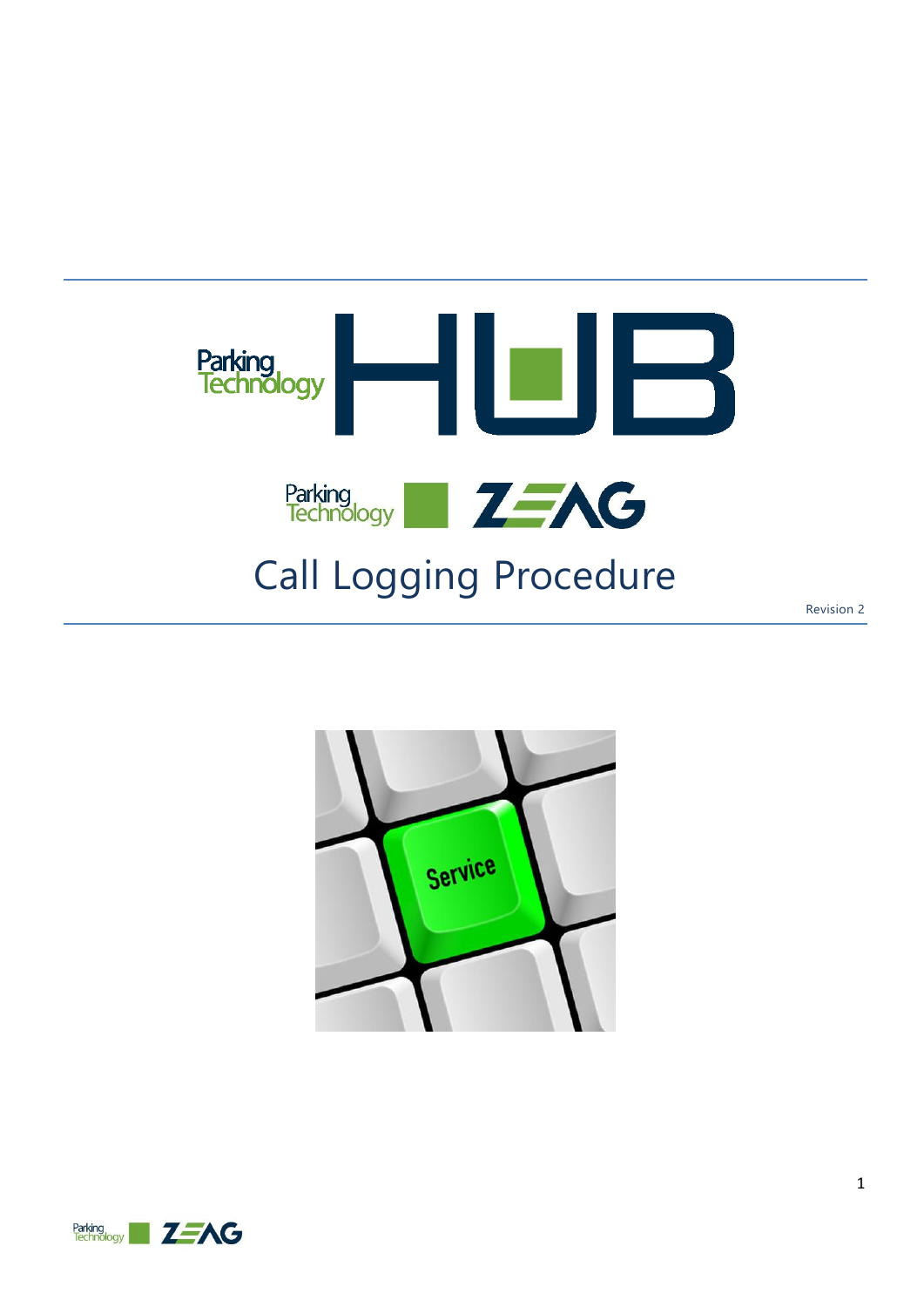

Revision 2



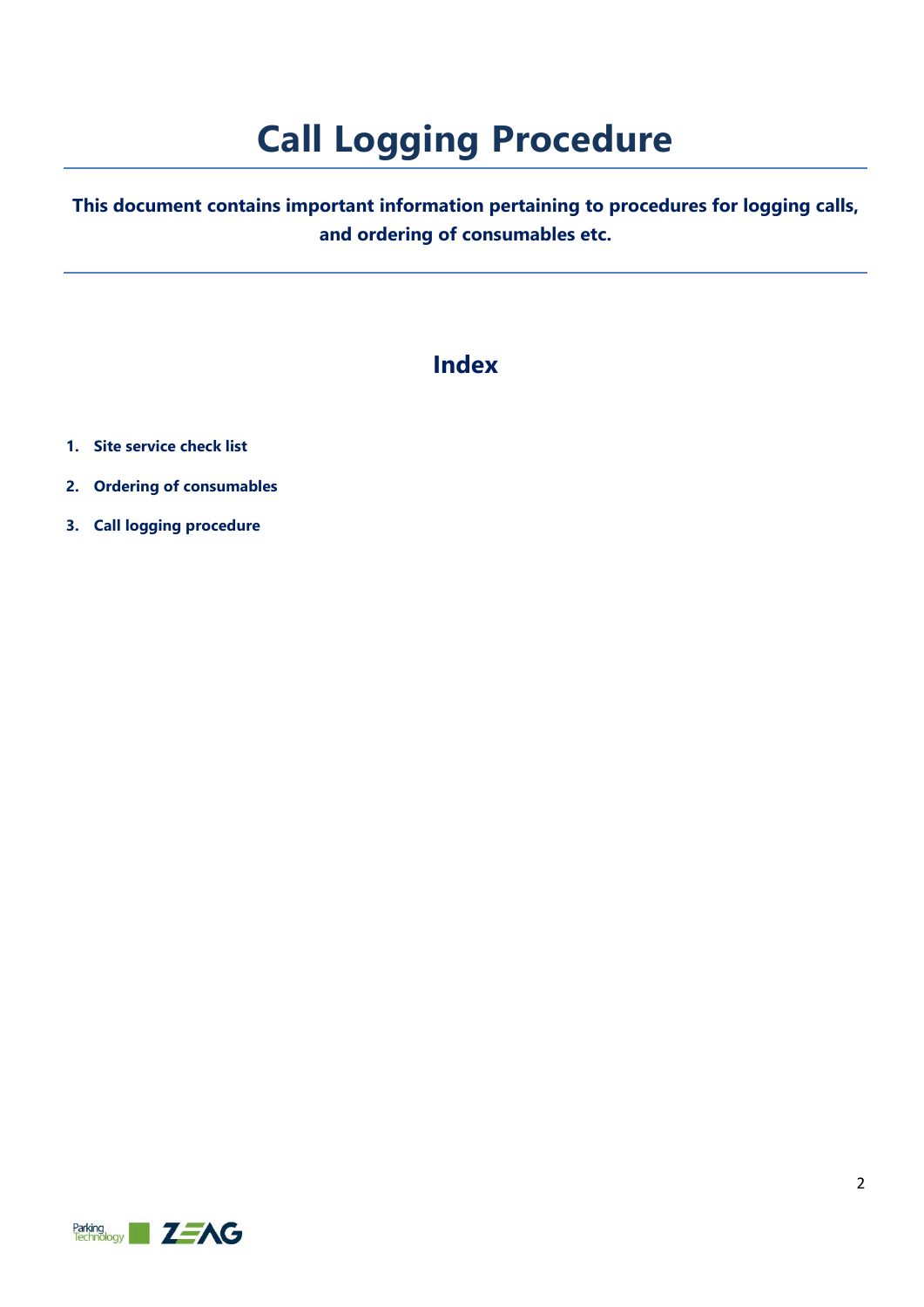# **Call Logging Procedure**

### **This document contains important information pertaining to procedures for logging calls, and ordering of consumables etc.**

### **Index**

- **1. Site service check list**
- **2. Ordering of consumables**
- **3. Call logging procedure**

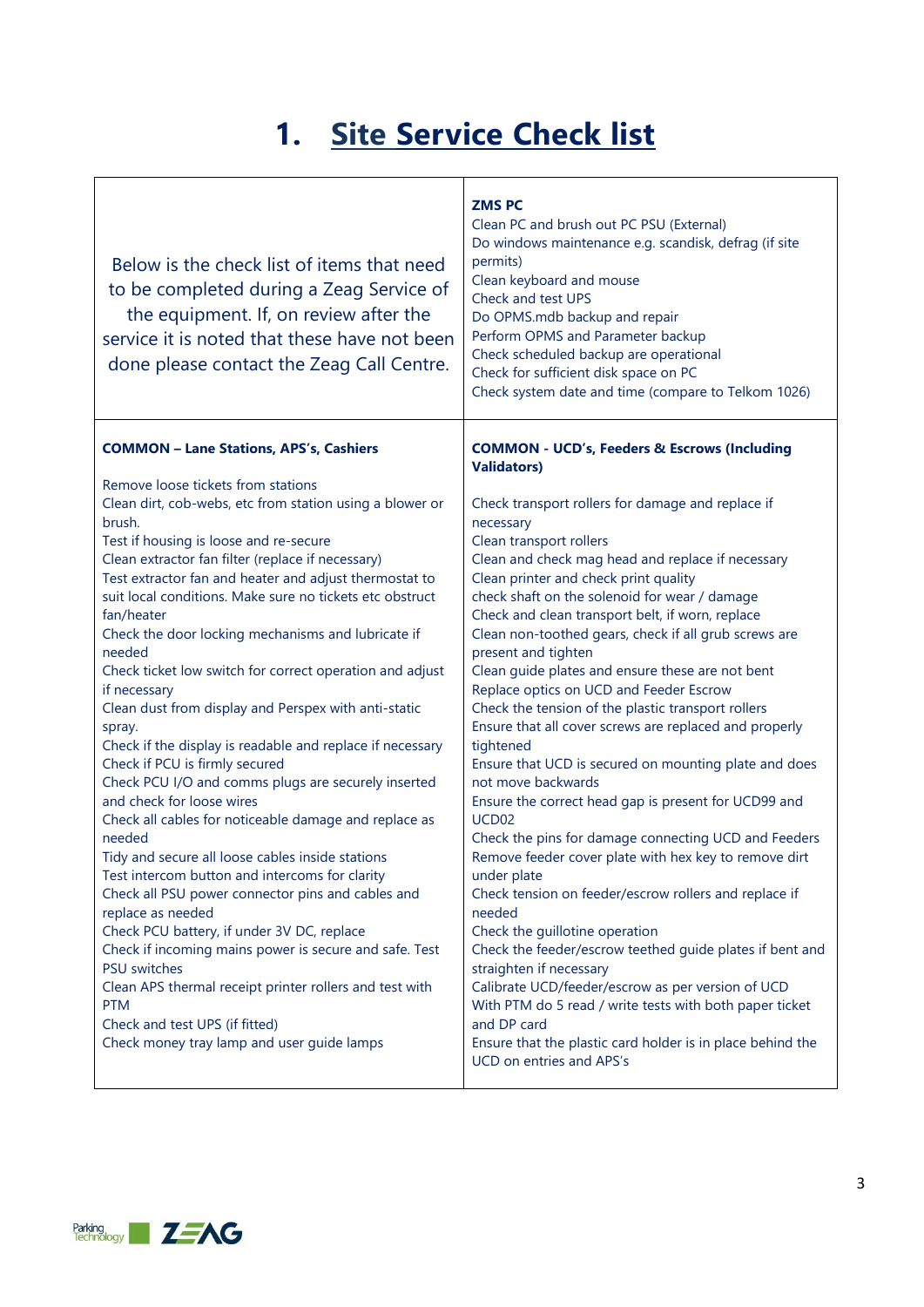## **1. Site Service Check list**

| Below is the check list of items that need<br>to be completed during a Zeag Service of<br>the equipment. If, on review after the<br>service it is noted that these have not been<br>done please contact the Zeag Call Centre.                                                                                                                                                                                                                                                                                                                                                                                                                                                                                                                                                                                                                                                                                                                                                                                                                 | <b>ZMSPC</b><br>Clean PC and brush out PC PSU (External)<br>Do windows maintenance e.g. scandisk, defrag (if site<br>permits)<br>Clean keyboard and mouse<br>Check and test UPS<br>Do OPMS.mdb backup and repair<br>Perform OPMS and Parameter backup<br>Check scheduled backup are operational<br>Check for sufficient disk space on PC<br>Check system date and time (compare to Telkom 1026)                                                                                                                                                                                                                                                                                                                                                                                                                                                                                                                                                                                                                                 |
|-----------------------------------------------------------------------------------------------------------------------------------------------------------------------------------------------------------------------------------------------------------------------------------------------------------------------------------------------------------------------------------------------------------------------------------------------------------------------------------------------------------------------------------------------------------------------------------------------------------------------------------------------------------------------------------------------------------------------------------------------------------------------------------------------------------------------------------------------------------------------------------------------------------------------------------------------------------------------------------------------------------------------------------------------|---------------------------------------------------------------------------------------------------------------------------------------------------------------------------------------------------------------------------------------------------------------------------------------------------------------------------------------------------------------------------------------------------------------------------------------------------------------------------------------------------------------------------------------------------------------------------------------------------------------------------------------------------------------------------------------------------------------------------------------------------------------------------------------------------------------------------------------------------------------------------------------------------------------------------------------------------------------------------------------------------------------------------------|
| <b>COMMON - Lane Stations, APS's, Cashiers</b>                                                                                                                                                                                                                                                                                                                                                                                                                                                                                                                                                                                                                                                                                                                                                                                                                                                                                                                                                                                                | <b>COMMON - UCD's, Feeders &amp; Escrows (Including</b>                                                                                                                                                                                                                                                                                                                                                                                                                                                                                                                                                                                                                                                                                                                                                                                                                                                                                                                                                                         |
| Remove loose tickets from stations<br>Clean dirt, cob-webs, etc from station using a blower or<br>brush.<br>Test if housing is loose and re-secure<br>Clean extractor fan filter (replace if necessary)<br>Test extractor fan and heater and adjust thermostat to<br>suit local conditions. Make sure no tickets etc obstruct<br>fan/heater<br>Check the door locking mechanisms and lubricate if<br>needed<br>Check ticket low switch for correct operation and adjust<br>if necessary<br>Clean dust from display and Perspex with anti-static<br>spray.<br>Check if the display is readable and replace if necessary<br>Check if PCU is firmly secured<br>Check PCU I/O and comms plugs are securely inserted<br>and check for loose wires<br>Check all cables for noticeable damage and replace as<br>needed<br>Tidy and secure all loose cables inside stations<br>Test intercom button and intercoms for clarity<br>Check all PSU power connector pins and cables and<br>replace as needed<br>Check PCU battery, if under 3V DC, replace | <b>Validators)</b><br>Check transport rollers for damage and replace if<br>necessary<br>Clean transport rollers<br>Clean and check mag head and replace if necessary<br>Clean printer and check print quality<br>check shaft on the solenoid for wear / damage<br>Check and clean transport belt, if worn, replace<br>Clean non-toothed gears, check if all grub screws are<br>present and tighten<br>Clean guide plates and ensure these are not bent<br>Replace optics on UCD and Feeder Escrow<br>Check the tension of the plastic transport rollers<br>Ensure that all cover screws are replaced and properly<br>tightened<br>Ensure that UCD is secured on mounting plate and does<br>not move backwards<br>Ensure the correct head gap is present for UCD99 and<br>UCD <sub>02</sub><br>Check the pins for damage connecting UCD and Feeders<br>Remove feeder cover plate with hex key to remove dirt<br>under plate<br>Check tension on feeder/escrow rollers and replace if<br>needed<br>Check the guillotine operation |
| Check if incoming mains power is secure and safe. Test<br><b>PSU</b> switches<br>Clean APS thermal receipt printer rollers and test with<br><b>PTM</b><br>Check and test UPS (if fitted)<br>Check money tray lamp and user guide lamps                                                                                                                                                                                                                                                                                                                                                                                                                                                                                                                                                                                                                                                                                                                                                                                                        | Check the feeder/escrow teethed guide plates if bent and<br>straighten if necessary<br>Calibrate UCD/feeder/escrow as per version of UCD<br>With PTM do 5 read / write tests with both paper ticket<br>and DP card<br>Ensure that the plastic card holder is in place behind the<br>UCD on entries and APS's                                                                                                                                                                                                                                                                                                                                                                                                                                                                                                                                                                                                                                                                                                                    |

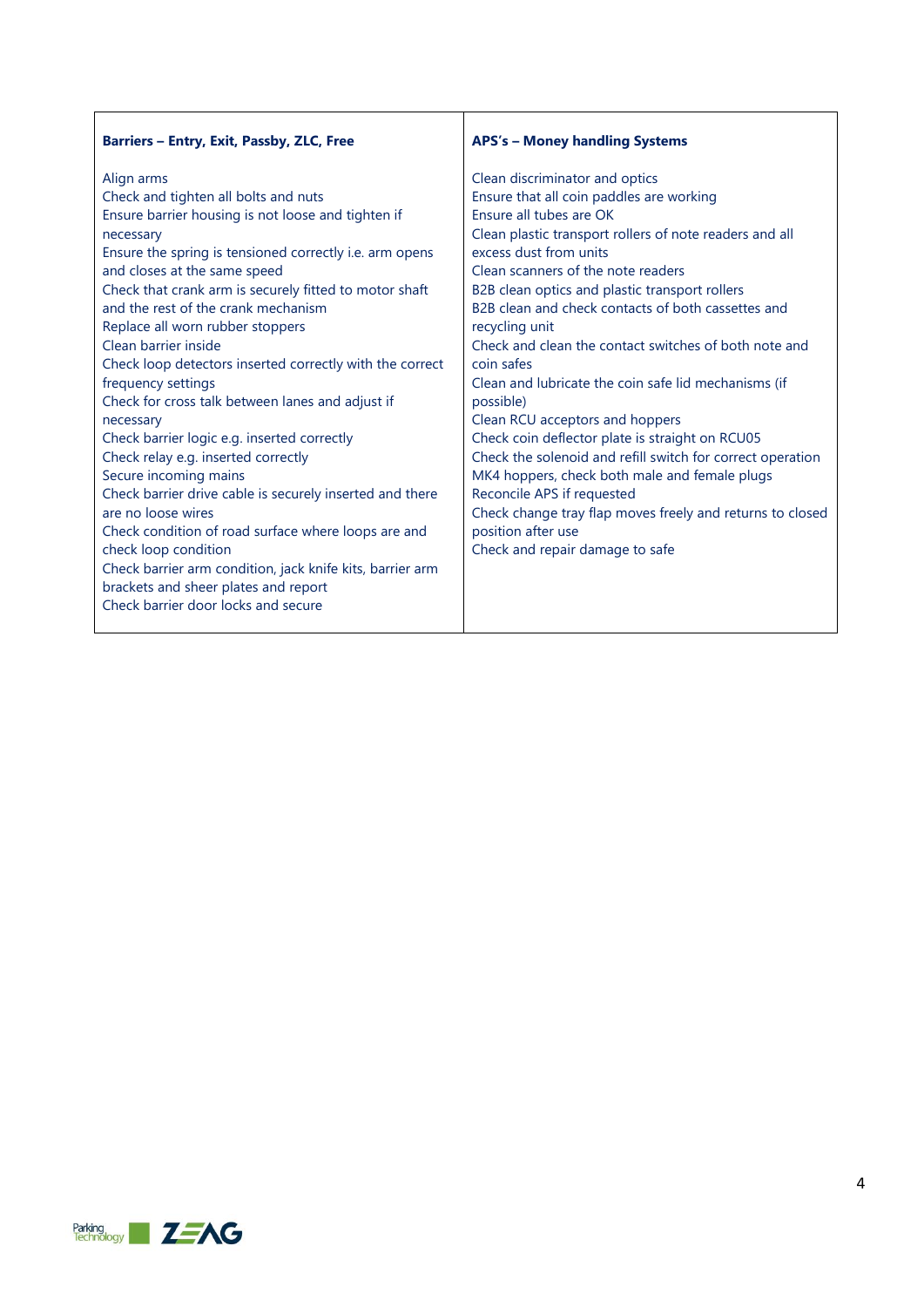| Barriers - Entry, Exit, Passby, ZLC, Free                                                                                                                                                                                                                                                                                                                                                                                                                                                                                                                                                                                                                                                                                                                                                                                                                                                                                                                    | <b>APS's - Money handling Systems</b>                                                                                                                                                                                                                                                                                                                                                                                                                                                                                                                                                                                                                                                                                                                                                                                                                           |
|--------------------------------------------------------------------------------------------------------------------------------------------------------------------------------------------------------------------------------------------------------------------------------------------------------------------------------------------------------------------------------------------------------------------------------------------------------------------------------------------------------------------------------------------------------------------------------------------------------------------------------------------------------------------------------------------------------------------------------------------------------------------------------------------------------------------------------------------------------------------------------------------------------------------------------------------------------------|-----------------------------------------------------------------------------------------------------------------------------------------------------------------------------------------------------------------------------------------------------------------------------------------------------------------------------------------------------------------------------------------------------------------------------------------------------------------------------------------------------------------------------------------------------------------------------------------------------------------------------------------------------------------------------------------------------------------------------------------------------------------------------------------------------------------------------------------------------------------|
| Align arms<br>Check and tighten all bolts and nuts<br>Ensure barrier housing is not loose and tighten if<br>necessary<br>Ensure the spring is tensioned correctly i.e. arm opens<br>and closes at the same speed<br>Check that crank arm is securely fitted to motor shaft<br>and the rest of the crank mechanism<br>Replace all worn rubber stoppers<br>Clean barrier inside<br>Check loop detectors inserted correctly with the correct<br>frequency settings<br>Check for cross talk between lanes and adjust if<br>necessary<br>Check barrier logic e.g. inserted correctly<br>Check relay e.g. inserted correctly<br>Secure incoming mains<br>Check barrier drive cable is securely inserted and there<br>are no loose wires<br>Check condition of road surface where loops are and<br>check loop condition<br>Check barrier arm condition, jack knife kits, barrier arm<br>brackets and sheer plates and report<br>Check barrier door locks and secure | Clean discriminator and optics<br>Ensure that all coin paddles are working<br>Ensure all tubes are OK<br>Clean plastic transport rollers of note readers and all<br>excess dust from units<br>Clean scanners of the note readers<br>B2B clean optics and plastic transport rollers<br>B2B clean and check contacts of both cassettes and<br>recycling unit<br>Check and clean the contact switches of both note and<br>coin safes<br>Clean and lubricate the coin safe lid mechanisms (if<br>possible)<br>Clean RCU acceptors and hoppers<br>Check coin deflector plate is straight on RCU05<br>Check the solenoid and refill switch for correct operation<br>MK4 hoppers, check both male and female plugs<br>Reconcile APS if requested<br>Check change tray flap moves freely and returns to closed<br>position after use<br>Check and repair damage to safe |

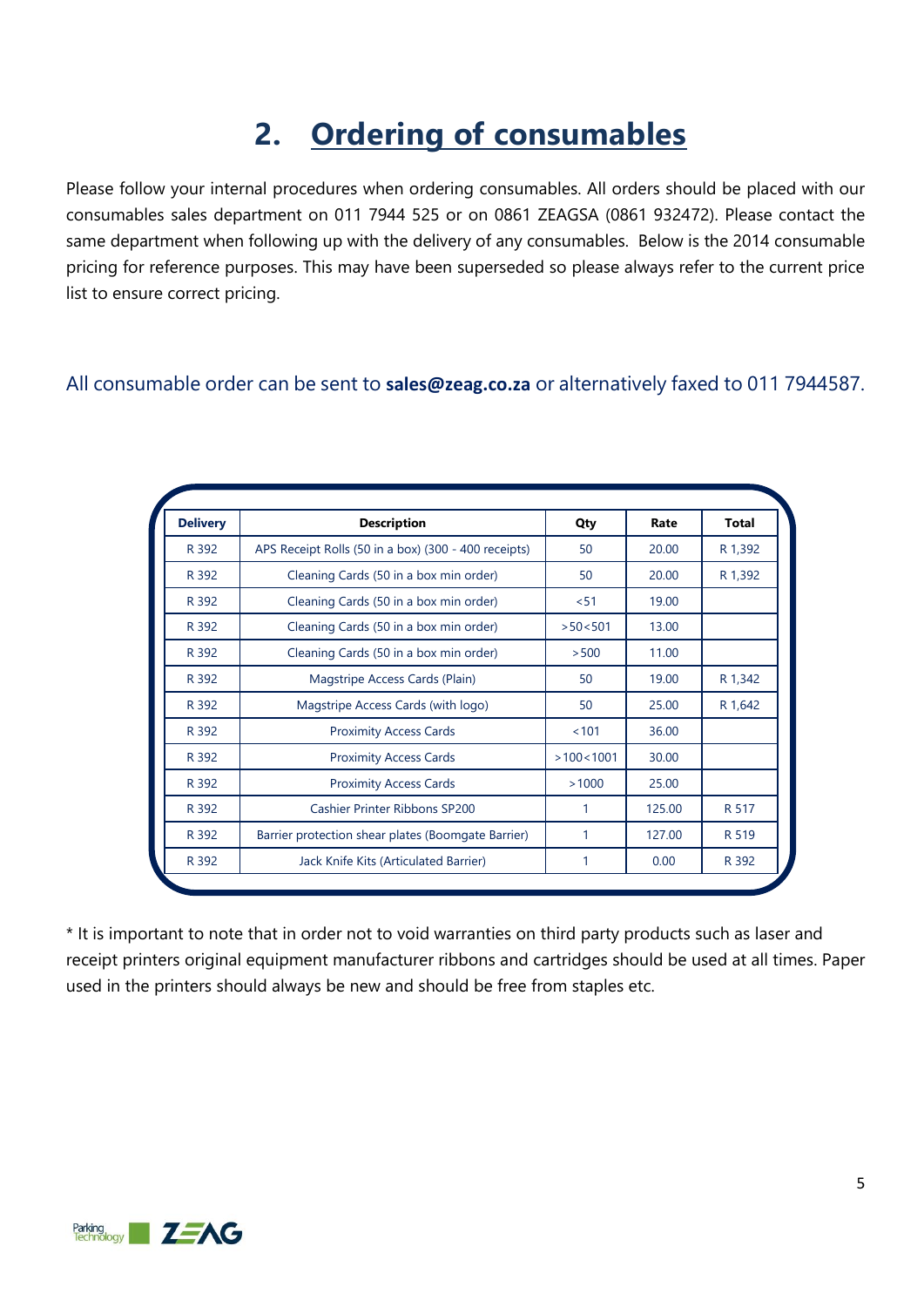## **2. Ordering of consumables**

Please follow your internal procedures when ordering consumables. All orders should be placed with our consumables sales department on 011 7944 525 or on 0861 ZEAGSA (0861 932472). Please contact the same department when following up with the delivery of any consumables. Below is the 2014 consumable pricing for reference purposes. This may have been superseded so please always refer to the current price list to ensure correct pricing.

### All consumable order can be sent to **[sales@zeag.co.za](mailto:sales@zeag.co.za)** or alternatively faxed to 011 7944587.

| <b>Delivery</b> | <b>Description</b>                                   | Qty       | Rate   | <b>Total</b> |
|-----------------|------------------------------------------------------|-----------|--------|--------------|
| R 392           | APS Receipt Rolls (50 in a box) (300 - 400 receipts) | 50        | 20.00  | R 1,392      |
| R 392           | Cleaning Cards (50 in a box min order)               | 50        | 20.00  | R 1,392      |
| R 392           | Cleaning Cards (50 in a box min order)               | < 51      | 19.00  |              |
| R 392           | Cleaning Cards (50 in a box min order)               | >50<501   | 13.00  |              |
| R 392           | Cleaning Cards (50 in a box min order)               | > 500     | 11.00  |              |
| R 392           | Magstripe Access Cards (Plain)                       | 50        | 19.00  | R 1,342      |
| R 392           | Magstripe Access Cards (with logo)                   | 50        | 25.00  | R 1,642      |
| R 392           | <b>Proximity Access Cards</b>                        | < 101     | 36.00  |              |
| R 392           | <b>Proximity Access Cards</b>                        | >100<1001 | 30.00  |              |
| R 392           | <b>Proximity Access Cards</b>                        | >1000     | 25.00  |              |
| R 392           | <b>Cashier Printer Ribbons SP200</b>                 | 1         | 125.00 | R 517        |
| R 392           | Barrier protection shear plates (Boomgate Barrier)   | 1         | 127.00 | R 519        |
| R 392           | Jack Knife Kits (Articulated Barrier)                | 1         | 0.00   | R 392        |

\* It is important to note that in order not to void warranties on third party products such as laser and receipt printers original equipment manufacturer ribbons and cartridges should be used at all times. Paper used in the printers should always be new and should be free from staples etc.

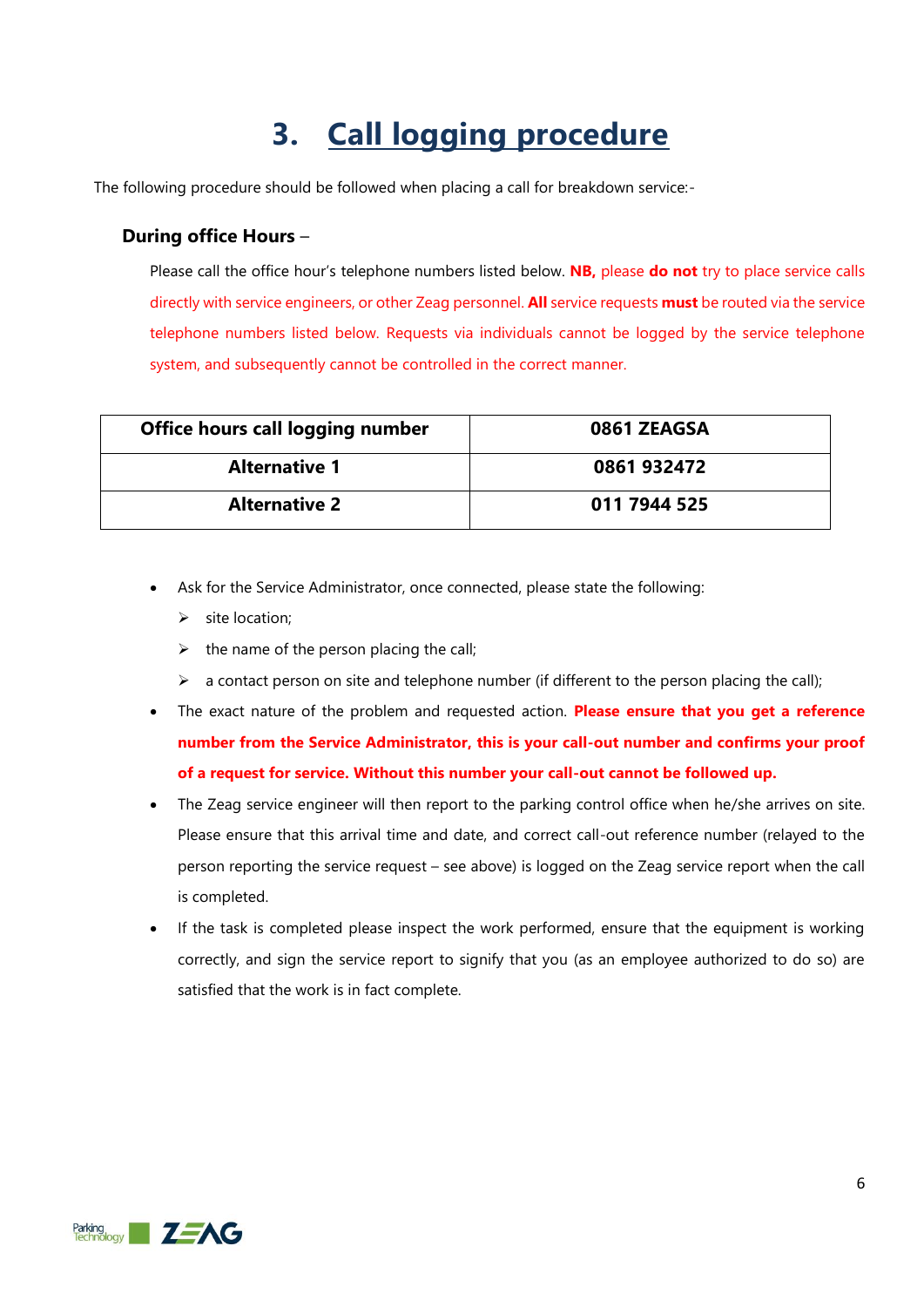## **3. Call logging procedure**

The following procedure should be followed when placing a call for breakdown service:-

#### **During office Hours** –

Please call the office hour's telephone numbers listed below. **NB,** please **do not** try to place service calls directly with service engineers, or other Zeag personnel. **All** service requests **must** be routed via the service telephone numbers listed below. Requests via individuals cannot be logged by the service telephone system, and subsequently cannot be controlled in the correct manner.

| Office hours call logging number | 0861 ZEAGSA  |
|----------------------------------|--------------|
| <b>Alternative 1</b>             | 0861 932472  |
| <b>Alternative 2</b>             | 011 7944 525 |

- Ask for the Service Administrator, once connected, please state the following:
	- $\triangleright$  site location;
	- $\triangleright$  the name of the person placing the call;
	- $\triangleright$  a contact person on site and telephone number (if different to the person placing the call);
- The exact nature of the problem and requested action. **Please ensure that you get a reference number from the Service Administrator, this is your call-out number and confirms your proof of a request for service. Without this number your call-out cannot be followed up.**
- The Zeag service engineer will then report to the parking control office when he/she arrives on site. Please ensure that this arrival time and date, and correct call-out reference number (relayed to the person reporting the service request – see above) is logged on the Zeag service report when the call is completed.
- If the task is completed please inspect the work performed, ensure that the equipment is working correctly, and sign the service report to signify that you (as an employee authorized to do so) are satisfied that the work is in fact complete.

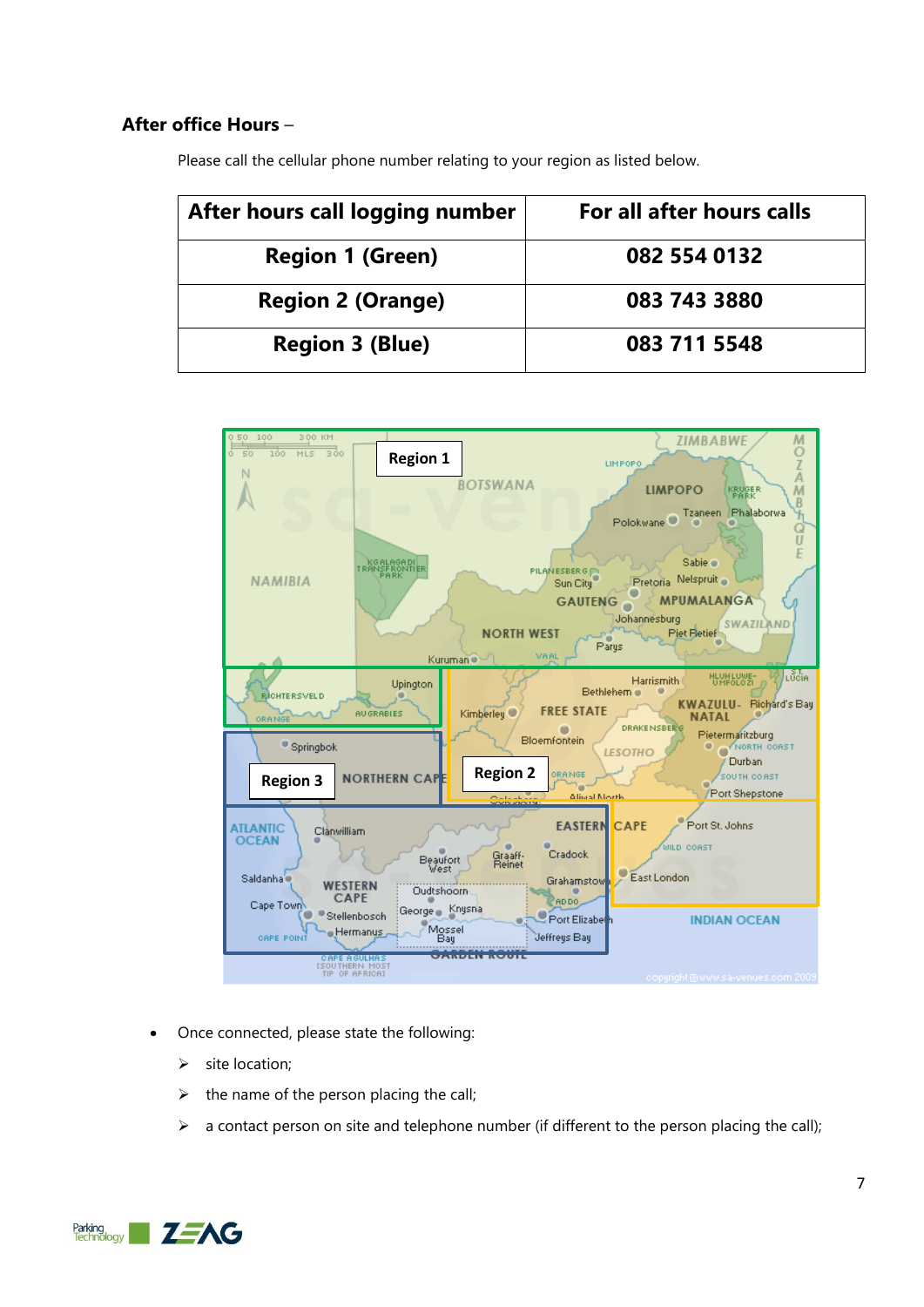### **After office Hours** –

Please call the cellular phone number relating to your region as listed below.

| After hours call logging number | For all after hours calls |
|---------------------------------|---------------------------|
| <b>Region 1 (Green)</b>         | 082 554 0132              |
| <b>Region 2 (Orange)</b>        | 083 743 3880              |
| <b>Region 3 (Blue)</b>          | 083 711 5548              |



- Once connected, please state the following:
	- $\triangleright$  site location;
	- $\triangleright$  the name of the person placing the call;
	- $\triangleright$  a contact person on site and telephone number (if different to the person placing the call);

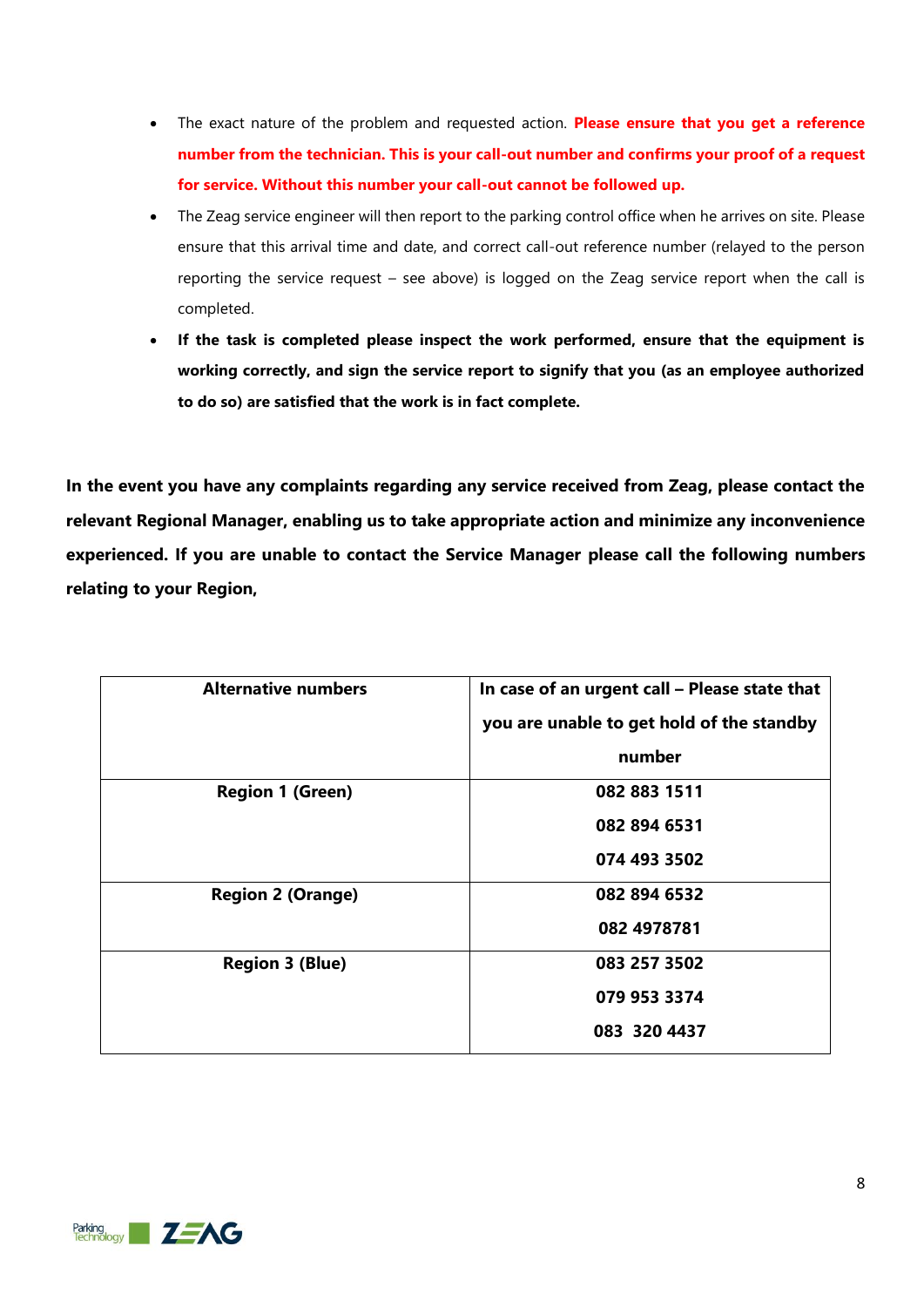- The exact nature of the problem and requested action. **Please ensure that you get a reference number from the technician. This is your call-out number and confirms your proof of a request for service. Without this number your call-out cannot be followed up.**
- The Zeag service engineer will then report to the parking control office when he arrives on site. Please ensure that this arrival time and date, and correct call-out reference number (relayed to the person reporting the service request – see above) is logged on the Zeag service report when the call is completed.
- **If the task is completed please inspect the work performed, ensure that the equipment is working correctly, and sign the service report to signify that you (as an employee authorized to do so) are satisfied that the work is in fact complete.**

**In the event you have any complaints regarding any service received from Zeag, please contact the relevant Regional Manager, enabling us to take appropriate action and minimize any inconvenience experienced. If you are unable to contact the Service Manager please call the following numbers relating to your Region,**

| In case of an urgent call - Please state that |
|-----------------------------------------------|
| you are unable to get hold of the standby     |
| number                                        |
| 082 883 1511                                  |
| 082 894 6531                                  |
| 074 493 3502                                  |
| 082 894 6532                                  |
| 082 4978781                                   |
| 083 257 3502                                  |
| 079 953 3374                                  |
| 083 320 4437                                  |
|                                               |